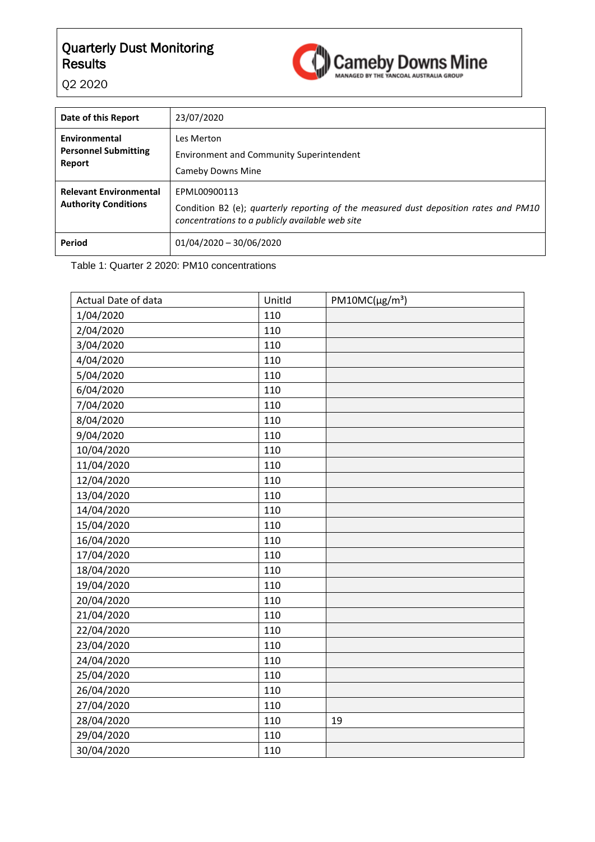

Q2 2020

| Date of this Report                                          | 23/07/2020                                                                                                                                              |
|--------------------------------------------------------------|---------------------------------------------------------------------------------------------------------------------------------------------------------|
| Environmental<br><b>Personnel Submitting</b><br>Report       | Les Merton<br><b>Environment and Community Superintendent</b><br>Cameby Downs Mine                                                                      |
| <b>Relevant Environmental</b><br><b>Authority Conditions</b> | EPML00900113<br>Condition B2 (e); quarterly reporting of the measured dust deposition rates and PM10<br>concentrations to a publicly available web site |
| <b>Period</b>                                                | $01/04/2020 - 30/06/2020$                                                                                                                               |

Table 1: Quarter 2 2020: PM10 concentrations

| Actual Date of data | Unitld | $PM10MC(\mu g/m^3)$ |
|---------------------|--------|---------------------|
| 1/04/2020           | 110    |                     |
| 2/04/2020           | 110    |                     |
| 3/04/2020           | 110    |                     |
| 4/04/2020           | 110    |                     |
| 5/04/2020           | 110    |                     |
| 6/04/2020           | 110    |                     |
| 7/04/2020           | 110    |                     |
| 8/04/2020           | 110    |                     |
| 9/04/2020           | 110    |                     |
| 10/04/2020          | 110    |                     |
| 11/04/2020          | 110    |                     |
| 12/04/2020          | 110    |                     |
| 13/04/2020          | 110    |                     |
| 14/04/2020          | 110    |                     |
| 15/04/2020          | 110    |                     |
| 16/04/2020          | 110    |                     |
| 17/04/2020          | 110    |                     |
| 18/04/2020          | 110    |                     |
| 19/04/2020          | 110    |                     |
| 20/04/2020          | 110    |                     |
| 21/04/2020          | 110    |                     |
| 22/04/2020          | 110    |                     |
| 23/04/2020          | 110    |                     |
| 24/04/2020          | 110    |                     |
| 25/04/2020          | 110    |                     |
| 26/04/2020          | 110    |                     |
| 27/04/2020          | 110    |                     |
| 28/04/2020          | 110    | 19                  |
| 29/04/2020          | 110    |                     |
| 30/04/2020          | 110    |                     |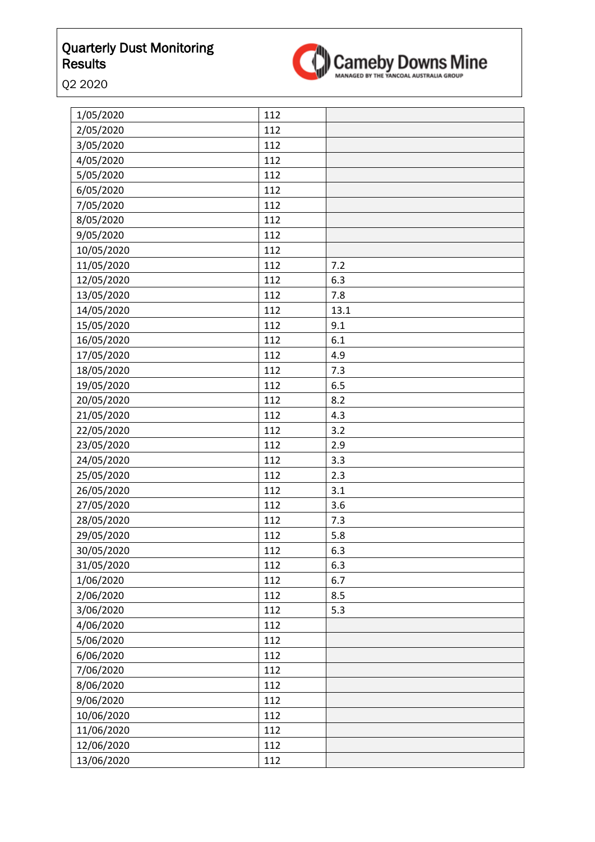

Q2 2020

| 1/05/2020  | 112 |      |
|------------|-----|------|
| 2/05/2020  | 112 |      |
| 3/05/2020  | 112 |      |
| 4/05/2020  | 112 |      |
| 5/05/2020  | 112 |      |
| 6/05/2020  | 112 |      |
| 7/05/2020  | 112 |      |
| 8/05/2020  | 112 |      |
| 9/05/2020  | 112 |      |
| 10/05/2020 | 112 |      |
| 11/05/2020 | 112 | 7.2  |
| 12/05/2020 | 112 | 6.3  |
| 13/05/2020 | 112 | 7.8  |
| 14/05/2020 | 112 | 13.1 |
| 15/05/2020 | 112 | 9.1  |
| 16/05/2020 | 112 | 6.1  |
| 17/05/2020 | 112 | 4.9  |
| 18/05/2020 | 112 | 7.3  |
| 19/05/2020 | 112 | 6.5  |
| 20/05/2020 | 112 | 8.2  |
| 21/05/2020 | 112 | 4.3  |
| 22/05/2020 | 112 | 3.2  |
| 23/05/2020 | 112 | 2.9  |
| 24/05/2020 | 112 | 3.3  |
| 25/05/2020 | 112 | 2.3  |
| 26/05/2020 | 112 | 3.1  |
| 27/05/2020 | 112 | 3.6  |
| 28/05/2020 | 112 | 7.3  |
| 29/05/2020 | 112 | 5.8  |
| 30/05/2020 | 112 | 6.3  |
| 31/05/2020 | 112 | 6.3  |
| 1/06/2020  | 112 | 6.7  |
| 2/06/2020  | 112 | 8.5  |
| 3/06/2020  | 112 | 5.3  |
| 4/06/2020  | 112 |      |
| 5/06/2020  | 112 |      |
| 6/06/2020  | 112 |      |
| 7/06/2020  | 112 |      |
| 8/06/2020  | 112 |      |
| 9/06/2020  | 112 |      |
| 10/06/2020 | 112 |      |
| 11/06/2020 | 112 |      |
| 12/06/2020 | 112 |      |
| 13/06/2020 | 112 |      |
|            |     |      |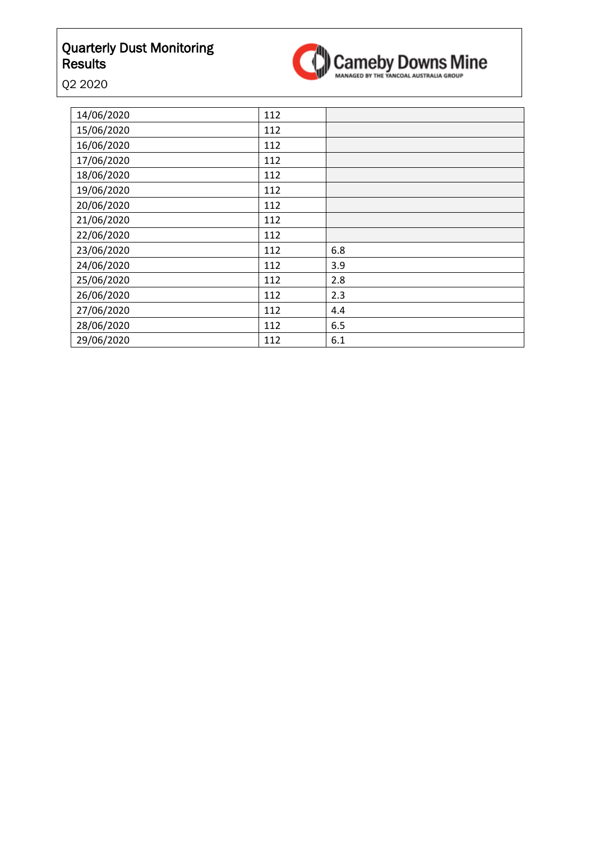

Q2 2020

| 14/06/2020 | 112 |     |
|------------|-----|-----|
| 15/06/2020 | 112 |     |
| 16/06/2020 | 112 |     |
| 17/06/2020 | 112 |     |
| 18/06/2020 | 112 |     |
| 19/06/2020 | 112 |     |
| 20/06/2020 | 112 |     |
| 21/06/2020 | 112 |     |
| 22/06/2020 | 112 |     |
| 23/06/2020 | 112 | 6.8 |
| 24/06/2020 | 112 | 3.9 |
| 25/06/2020 | 112 | 2.8 |
| 26/06/2020 | 112 | 2.3 |
| 27/06/2020 | 112 | 4.4 |
| 28/06/2020 | 112 | 6.5 |
| 29/06/2020 | 112 | 6.1 |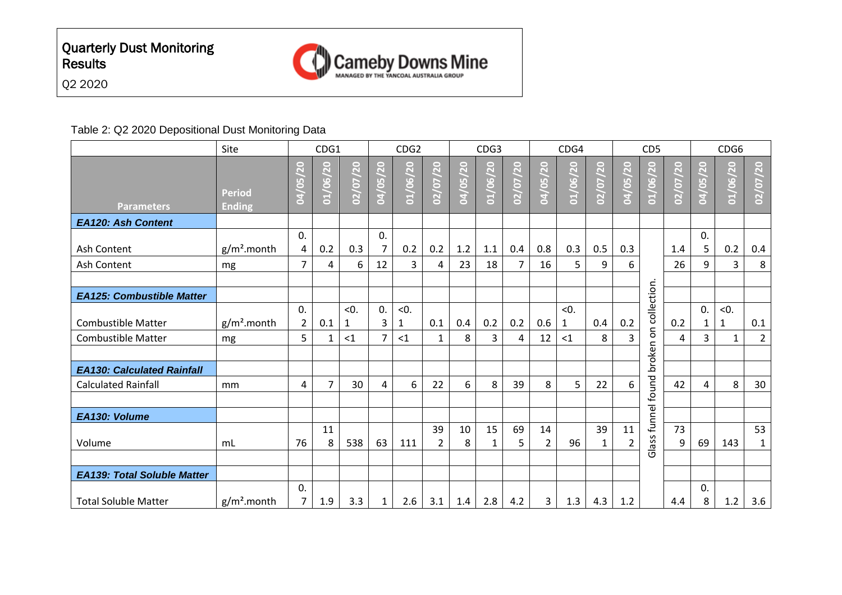



#### Table 2: Q2 2020 Depositional Dust Monitoring Data

|                                    | Site                           | CDG1                                                              |                |           | CDG <sub>2</sub> |                     |                      |          | CDG <sub>3</sub>                              |                                    |                      | CDG4      |          | CD <sub>5</sub>      |                       |                                     | CDG6                   |              |                    |
|------------------------------------|--------------------------------|-------------------------------------------------------------------|----------------|-----------|------------------|---------------------|----------------------|----------|-----------------------------------------------|------------------------------------|----------------------|-----------|----------|----------------------|-----------------------|-------------------------------------|------------------------|--------------|--------------------|
| <b>Parameters</b>                  | <b>Period</b><br><b>Ending</b> | $\overline{\mathbf{S}}$<br>$\overline{5}$<br>$\overrightarrow{2}$ | /20<br>01/06/  | 02/07/20  | 04/05/20         | 01/06/20            | 02/07/20             | 04/05/20 | 20<br>$\overline{96}$<br>$\overrightarrow{1}$ | <b>20</b><br>(2)<br>$\overline{2}$ | 04/05/20             | 01/06/20  | 02/07/20 | 04/05/20             | 01/06/20              | <b>20</b><br>(20)<br>$\overline{2}$ | /20<br>$\frac{1}{100}$ | 01/06/20     | 02/07/20           |
| <b>EA120: Ash Content</b>          |                                |                                                                   |                |           |                  |                     |                      |          |                                               |                                    |                      |           |          |                      |                       |                                     |                        |              |                    |
| Ash Content                        | $g/m2$ .month                  | 0.<br>4                                                           | 0.2            | 0.3       | 0.<br>7          | 0.2                 | 0.2                  | 1.2      | 1.1                                           | 0.4                                | 0.8                  | 0.3       | 0.5      | 0.3                  |                       | 1.4                                 | 0.<br>5                | 0.2          | 0.4                |
| Ash Content                        | mg                             | $\overline{7}$                                                    | 4              | 6         | 12               | 3                   | 4                    | 23       | 18                                            | $\overline{7}$                     | 16                   | 5         | 9        | 6                    |                       | 26                                  | 9                      | 3            | 8                  |
|                                    |                                |                                                                   |                |           |                  |                     |                      |          |                                               |                                    |                      |           |          |                      |                       |                                     |                        |              |                    |
| <b>EA125: Combustible Matter</b>   |                                |                                                                   |                |           |                  |                     |                      |          |                                               |                                    |                      |           |          |                      |                       |                                     |                        |              |                    |
| <b>Combustible Matter</b>          | $g/m2$ .month                  | 0.<br>$\overline{2}$                                              | 0.1            | < 0.<br>1 | 0.<br>3          | < 0.<br>$\mathbf 1$ | 0.1                  | 0.4      | 0.2                                           | 0.2                                | 0.6                  | < 0.<br>1 | 0.4      | 0.2                  | broken on collection. | 0.2                                 | $\Omega$<br>1          | < 0.<br>1    | 0.1                |
| <b>Combustible Matter</b>          | mg                             | 5                                                                 | 1              | $<$ 1     | 7                | <1                  | $\mathbf{1}$         | 8        | 3                                             | 4                                  | 12                   | $\leq 1$  | 8        | 3                    |                       | 4                                   | 3                      | $\mathbf{1}$ | $\overline{2}$     |
|                                    |                                |                                                                   |                |           |                  |                     |                      |          |                                               |                                    |                      |           |          |                      |                       |                                     |                        |              |                    |
| <b>EA130: Calculated Rainfall</b>  |                                |                                                                   |                |           |                  |                     |                      |          |                                               |                                    |                      |           |          |                      |                       |                                     |                        |              |                    |
| <b>Calculated Rainfall</b>         | mm                             | 4                                                                 | $\overline{7}$ | 30        | 4                | 6                   | 22                   | 6        | 8                                             | 39                                 | 8                    | 5         | 22       | 6                    |                       | 42                                  | 4                      | 8            | 30                 |
|                                    |                                |                                                                   |                |           |                  |                     |                      |          |                                               |                                    |                      |           |          |                      |                       |                                     |                        |              |                    |
| EA130: Volume                      |                                |                                                                   |                |           |                  |                     |                      |          |                                               |                                    |                      |           |          |                      |                       |                                     |                        |              |                    |
| Volume                             | m <sub>L</sub>                 | 76                                                                | 11<br>8        | 538       | 63               | 111                 | 39<br>$\overline{2}$ | 10<br>8  | 15<br>1                                       | 69<br>5                            | 14<br>$\overline{2}$ | 96        | 39<br>1  | 11<br>$\overline{2}$ | Glass funnel found    | 73<br>9                             | 69                     | 143          | 53<br>$\mathbf{1}$ |
|                                    |                                |                                                                   |                |           |                  |                     |                      |          |                                               |                                    |                      |           |          |                      |                       |                                     |                        |              |                    |
| <b>EA139: Total Soluble Matter</b> |                                |                                                                   |                |           |                  |                     |                      |          |                                               |                                    |                      |           |          |                      |                       |                                     |                        |              |                    |
| <b>Total Soluble Matter</b>        | $g/m2$ .month                  | 0.<br>7                                                           | 1.9            | 3.3       | 1                | 2.6                 | 3.1                  | 1.4      | 2.8                                           | 4.2                                | 3                    | 1.3       | 4.3      | 1.2                  |                       | 4.4                                 | 0.<br>8                | 1.2          | 3.6                |